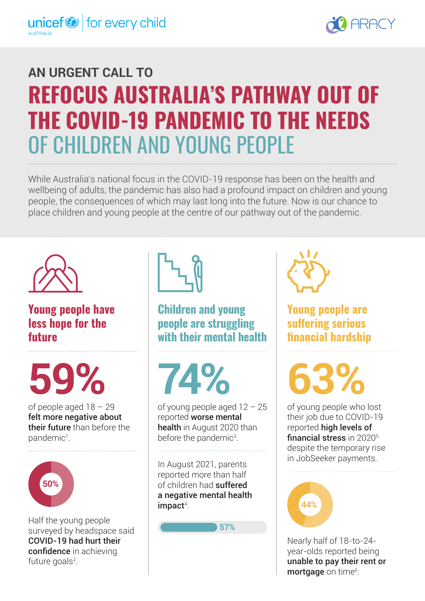

# **AN URGENT CALL TO REFOCUS AUSTRALIA'S PATHWAY OUT OF THE COVID-19 PANDEMIC TO THE NEEDS** OF CHILDREN AND YOUNG PEOPLE

While Australia's national focus in the COVID-19 response has been on the health and wellbeing of adults, the pandemic has also had a profound impact on children and young people, the consequences of which may last long into the future. Now is our chance to place children and young people at the centre of our pathway out of the pandemic.



**Young people have less hope for the future**

**59% 74% 63%**

of people aged 18 – 29 felt more negative about their future than before the pandemic<sup>1</sup>.



Half the young people surveyed by headspace said COVID-19 had hurt their confidence in achieving future goals<sup>2</sup>.



### **Children and young people are struggling with their mental health**

of young people aged 12 – 25 reported worse mental health in August 2020 than before the pandemic<sup>3</sup>.

In August 2021, parents reported more than half of children had suffered a negative mental health  $impact<sup>4</sup>$ .

**57%**



**Young people are suffering serious financial hardship**

of young people who lost their job due to COVID-19 reported high levels of financial stress in 2020<sup>5</sup> despite the temporary rise in JobSeeker payments.



Nearly half of 18-to-24 year-olds reported being unable to pay their rent or mortgage on time<sup>6</sup>.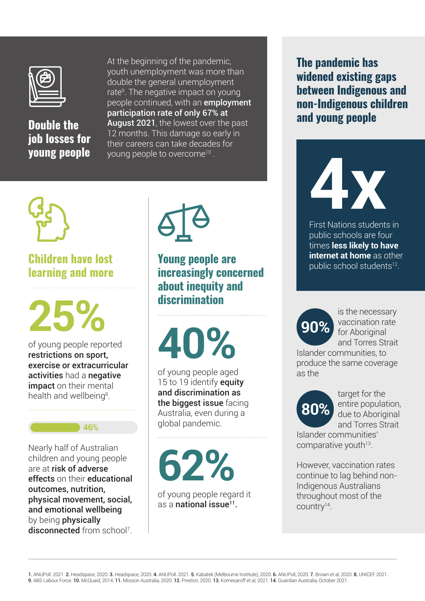

# **Double the job losses for young people**

At the beginning of the pandemic, youth unemployment was more than double the general unemployment rate<sup>9</sup>. The negative impact on young people continued, with an **employment** participation rate of only 67% at August 2021, the lowest over the past 12 months. This damage so early in their careers can take decades for young people to overcome10 .



## **Children have lost learning and more**

of young people reported restrictions on sport, exercise or extracurricular activities had a negative impact on their mental health and wellbeing<sup>8</sup>.

**46%**

Nearly half of Australian<br>children and young people<br>are at risk of adverse children and young people are at risk of adverse effects on their educational outcomes, nutrition, physical movement, social, and emotional wellbeing by being **physically** disconnected from school<sup>7</sup>.



**Young people are increasingly concerned about inequity and discrimination**

**25%**<br>of young people reported<br>restrictions on sport

of young people aged 15 to 19 identify **equity** and discrimination as the biggest issue facing Australia, even during a global pandemic.

of young people regard it as a national issue $11$ .

**The pandemic has widened existing gaps between Indigenous and non-Indigenous children and young people**

**4x**

First Nations students in public schools are four times **less likely to have internet at home** as other public school students<sup>12</sup>.



is the necessary vaccination rate for Aboriginal and Torres Strait

Islander communities, to produce the same coverage as the



target for the entire population, due to Aboriginal and Torres Strait Islander communities'

comparative youth<sup>13</sup>.

However, vaccination rates continue to lag behind non-Indigenous Australians throughout most of the country<sup>14</sup>.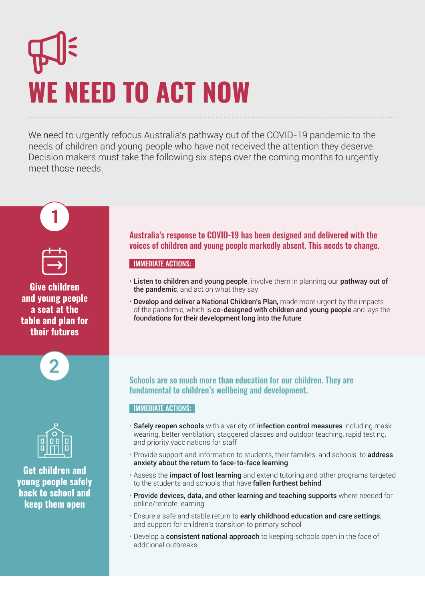# **WE NEED TO ACT NOW**

We need to urgently refocus Australia's pathway out of the COVID-19 pandemic to the needs of children and young people who have not received the attention they deserve. Decision makers must take the following six steps over the coming months to urgently meet those needs.







**Get children and young people safely back to school and keep them open**

Australia's response to COVID-19 has been designed and delivered with the voices of children and young people markedly absent. This needs to change.

#### IMMEDIATE ACTIONS:

- Listen to children and young people, involve them in planning our pathway out of the pandemic, and act on what they say
- Develop and deliver a National Children's Plan, made more urgent by the impacts of the pandemic, which is co-designed with children and young people and lays the foundations for their development long into the future.

#### Schools are so much more than education for our children. They are fundamental to children's wellbeing and development.

#### IMMEDIATE ACTIONS:

- Safely reopen schools with a variety of infection control measures including mask wearing, better ventilation, staggered classes and outdoor teaching, rapid testing, and priority vaccinations for staff
- Provide support and information to students, their families, and schools, to address anxiety about the return to face-to-face learning
- Assess the *impact of lost learning* and extend tutoring and other programs targeted to the students and schools that have **fallen furthest behind**
- Provide devices, data, and other learning and teaching supports where needed for online/remote learning
- Ensure a safe and stable return to early childhood education and care settings, and support for children's transition to primary school
- Develop a **consistent national approach** to keeping schools open in the face of additional outbreaks.